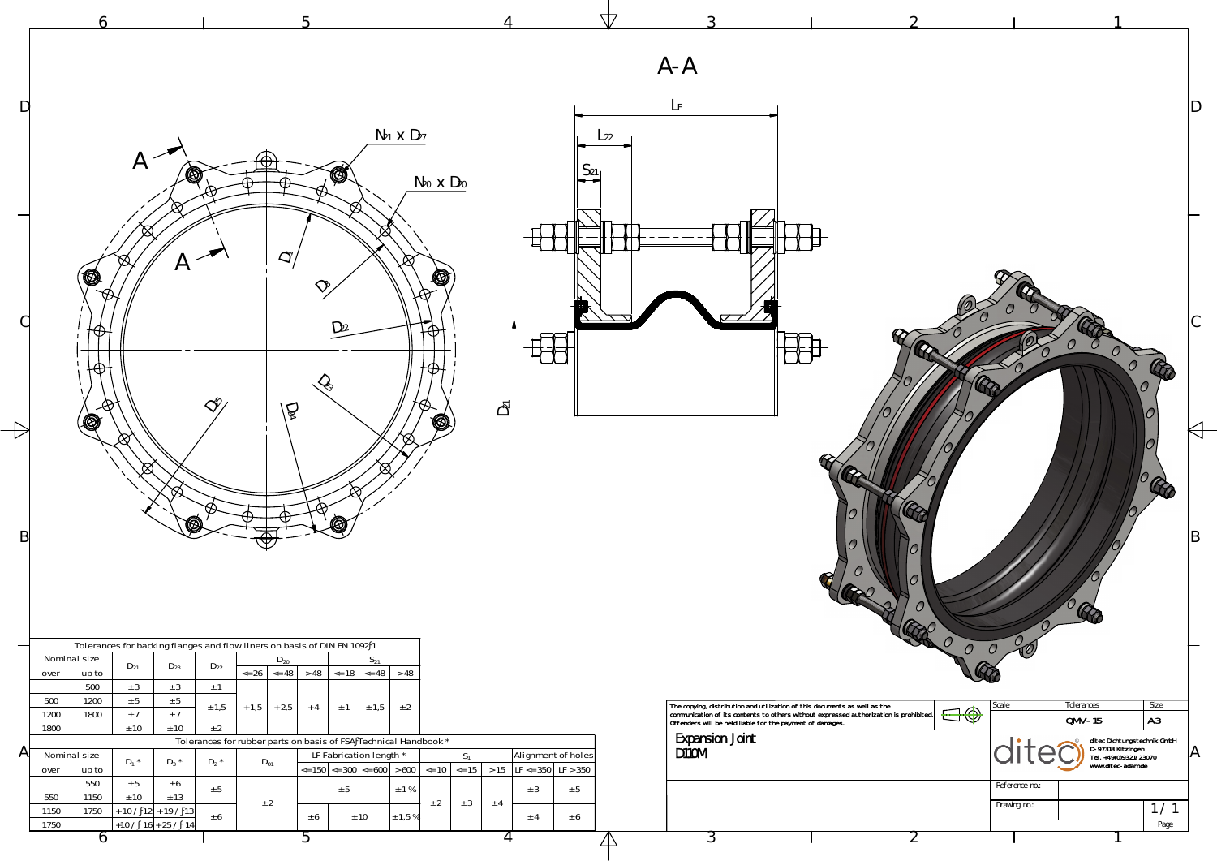

|    |                                                                      |                                        |                                                                                                         |                                                                                                                                                                                                      |                   | $\Delta$           |                                                                                                                                                                                                                                |                     |                                 |                                |                                                                                                |
|----|----------------------------------------------------------------------|----------------------------------------|---------------------------------------------------------------------------------------------------------|------------------------------------------------------------------------------------------------------------------------------------------------------------------------------------------------------|-------------------|--------------------|--------------------------------------------------------------------------------------------------------------------------------------------------------------------------------------------------------------------------------|---------------------|---------------------------------|--------------------------------|------------------------------------------------------------------------------------------------|
|    |                                                                      |                                        |                                                                                                         |                                                                                                                                                                                                      |                   |                    | $A - A$                                                                                                                                                                                                                        |                     |                                 |                                |                                                                                                |
| DI |                                                                      |                                        |                                                                                                         |                                                                                                                                                                                                      |                   |                    | $\mathsf{L}_{\mathsf{E}}$                                                                                                                                                                                                      |                     |                                 |                                |                                                                                                |
|    | $A \nightharpoonup$                                                  |                                        |                                                                                                         | $N_{21}$ $\times$ $D_{27}$                                                                                                                                                                           |                   | $L_{22}$           |                                                                                                                                                                                                                                |                     |                                 |                                |                                                                                                |
|    |                                                                      |                                        | Ø                                                                                                       | $N_{20}$ $\times$ $D_{20}$                                                                                                                                                                           |                   |                    |                                                                                                                                                                                                                                |                     |                                 |                                |                                                                                                |
|    |                                                                      |                                        | $\overline{C}$                                                                                          |                                                                                                                                                                                                      |                   |                    |                                                                                                                                                                                                                                |                     |                                 |                                |                                                                                                |
|    | G                                                                    | Η                                      |                                                                                                         | 0                                                                                                                                                                                                    |                   |                    |                                                                                                                                                                                                                                |                     |                                 |                                |                                                                                                |
|    | ⊕                                                                    |                                        | $D_{22}$                                                                                                |                                                                                                                                                                                                      |                   |                    |                                                                                                                                                                                                                                |                     |                                 |                                |                                                                                                |
|    |                                                                      |                                        |                                                                                                         |                                                                                                                                                                                                      |                   |                    |                                                                                                                                                                                                                                |                     |                                 |                                |                                                                                                |
|    | Q                                                                    | $\triangle^{\!\!\hat\varphi}$          | $\widetilde{Q}$                                                                                         | (0)                                                                                                                                                                                                  | $\bar{D_2}$       |                    |                                                                                                                                                                                                                                |                     |                                 |                                |                                                                                                |
|    | ⋈                                                                    |                                        |                                                                                                         |                                                                                                                                                                                                      |                   |                    |                                                                                                                                                                                                                                |                     |                                 |                                | OR                                                                                             |
|    |                                                                      | 0                                      |                                                                                                         |                                                                                                                                                                                                      |                   |                    |                                                                                                                                                                                                                                |                     |                                 |                                |                                                                                                |
| B  |                                                                      |                                        | ᠊ᢦ                                                                                                      |                                                                                                                                                                                                      |                   |                    |                                                                                                                                                                                                                                | C<br>$\overline{O}$ |                                 |                                | ΙB                                                                                             |
|    |                                                                      |                                        |                                                                                                         |                                                                                                                                                                                                      |                   |                    |                                                                                                                                                                                                                                | $\bm{\varTheta}$    | $\mathcal{C}$<br>$\overline{U}$ |                                |                                                                                                |
|    |                                                                      |                                        | Tolerances for backing flanges and flow liners on basis of DIN EN 1092 1                                |                                                                                                                                                                                                      |                   |                    |                                                                                                                                                                                                                                |                     | $\mathcal O$<br>$\mathcal{O}$   |                                |                                                                                                |
|    | Nominal size<br>$D_{21}$<br>up to<br>over<br>500<br>± 3              | $D_{22}$<br>$D_{23}$<br>± 3<br>$\pm$ 1 | $D_{20}$<br>$\le$ 26 $\le$ 48 $\ge$ 48 $\le$ 18 $\le$ 48 $\ge$ 48                                       | $S_{21}$                                                                                                                                                                                             |                   |                    |                                                                                                                                                                                                                                |                     |                                 |                                |                                                                                                |
|    | 500<br>1200<br>± 5<br>1200<br>1800<br>$\pm$ 7<br>± 10<br>1800        | ± 5<br>± 1,5<br>±7<br>± 2<br>± 10      | $+2,5$<br>$+1,5$<br>$\pm$ 1<br>$+4$                                                                     | $\pm$ 1,5<br>± 2                                                                                                                                                                                     |                   |                    | The copying, distribution and utilization of this documents as well as the communication of its contents to others without expressed authorization is prohibited.<br>Offenders will be held liable for the payment of damages. |                     | Scale<br>$\bigoplus$            | Tolerances<br>$QMV-15$         | Size<br>A3                                                                                     |
| Αľ | Nominal size<br>$D_1$ *<br>up to<br>over                             | $D_2$ *<br>$D_3$ *                     | Tolerances for rubber parts on basis of FSA Technical Handbook *<br>LF Fabrication length *<br>$D_{01}$ | $\epsilon$ = 150 $\vert \epsilon$ = 300 $\vert \epsilon$ = 600 $\vert \epsilon$ > 600 $\vert \epsilon$ = 10 $\vert \epsilon$ = 15 $\vert \epsilon$ > 15 $\vert$ LF $\epsilon$ = 350 $\vert$ LF > 350 | S <sub>1</sub>    | Alignment of holes | <b>Expansion Joint</b><br><b>D110M</b>                                                                                                                                                                                         |                     |                                 |                                | ditec Dichtungstechnik GmbH<br>D-97318 Kitzingen<br>Tel. +49(0)9321/23070<br>www.ditec-adam.de |
|    | 550<br>$\pm$ 5<br>± 10<br>550<br>1150                                | ± 6<br>± 5<br>$\pm$ 13                 | ± 5<br>$\pm$ 2                                                                                          | $\pm$ 1 %<br>± 2                                                                                                                                                                                     | ± 3<br>± 3<br>± 4 | ± 5                |                                                                                                                                                                                                                                |                     |                                 | Reference no.:<br>Drawing no.: | 1/1                                                                                            |
|    | 1750<br>$+ 10 / 12 + 19 / 13$<br>1150<br>$+10/16+25/14$<br>1750<br>O | ± 6                                    | ± 10<br>± 6                                                                                             | $\pm$ 1,5 %                                                                                                                                                                                          | ± 4               | ± 6<br>$\Box$      | $\mathcal{L}$                                                                                                                                                                                                                  |                     | $\angle$                        |                                | Page                                                                                           |